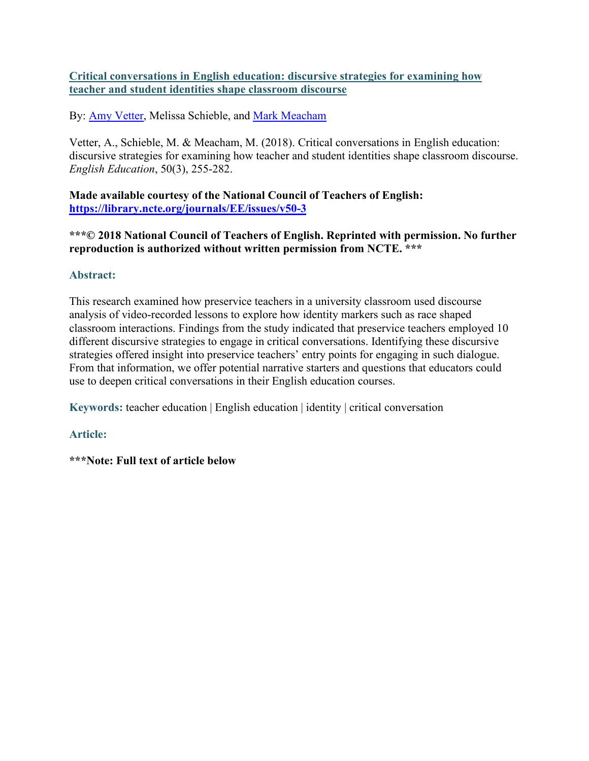# **Critical conversations in English education: discursive strategies for examining how teacher and student identities shape classroom discourse**

By: [Amy Vetter,](https://libres.uncg.edu/ir/uncg/clist.aspx?id=25700) Melissa Schieble, and [Mark Meacham](https://libres.uncg.edu/ir/uncg/clist.aspx?id=7991)

Vetter, A., Schieble, M. & Meacham, M. (2018). Critical conversations in English education: discursive strategies for examining how teacher and student identities shape classroom discourse. *English Education*, 50(3), 255-282.

**Made available courtesy of the National Council of Teachers of English: <https://library.ncte.org/journals/EE/issues/v50-3>**

**\*\*\*© 2018 National Council of Teachers of English. Reprinted with permission. No further reproduction is authorized without written permission from NCTE. \*\*\***

# **Abstract:**

This research examined how preservice teachers in a university classroom used discourse analysis of video-recorded lessons to explore how identity markers such as race shaped classroom interactions. Findings from the study indicated that preservice teachers employed 10 different discursive strategies to engage in critical conversations. Identifying these discursive strategies offered insight into preservice teachers' entry points for engaging in such dialogue. From that information, we offer potential narrative starters and questions that educators could use to deepen critical conversations in their English education courses.

**Keywords:** teacher education | English education | identity | critical conversation

**Article:**

**\*\*\*Note: Full text of article below**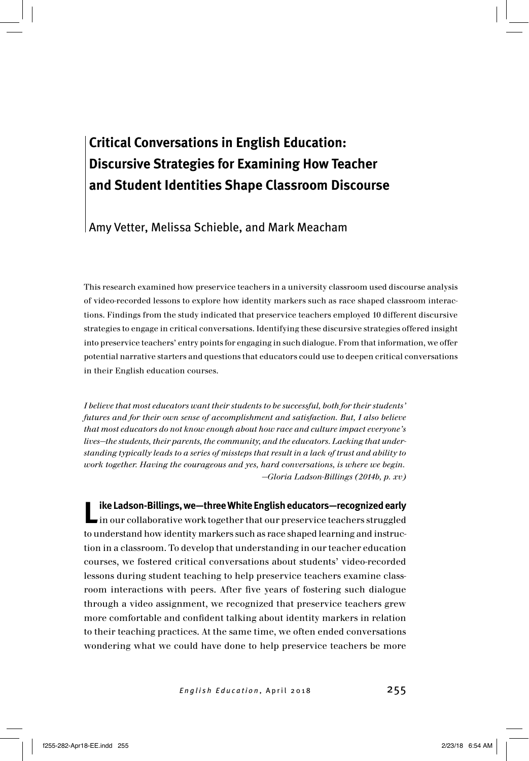# **Critical Conversations in English Education: Discursive Strategies for Examining How Teacher and Student Identities Shape Classroom Discourse**

### Amy Vetter, Melissa Schieble, and Mark Meacham

This research examined how preservice teachers in a university classroom used discourse analysis of video-recorded lessons to explore how identity markers such as race shaped classroom interactions. Findings from the study indicated that preservice teachers employed 10 different discursive strategies to engage in critical conversations. Identifying these discursive strategies offered insight into preservice teachers' entry points for engaging in such dialogue. From that information, we offer potential narrative starters and questions that educators could use to deepen critical conversations in their English education courses.

*I believe that most educators want their students to be successful, both for their students' futures and for their own sense of accomplishment and satisfaction. But, I also believe that most educators do not know enough about how race and culture impact everyone's lives—the students, their parents, the community, and the educators. Lacking that understanding typically leads to a series of missteps that result in a lack of trust and ability to work together. Having the courageous and yes, hard conversations, is where we begin. —Gloria Ladson-Billings (2014b, p. xv)*

**Like Ladson-Billings, we—three White English educators—recognized early** in our collaborative work together that our preservice teachers struggled to understand how identity markers such as race shaped learning and instruction in a classroom. To develop that understanding in our teacher education courses, we fostered critical conversations about students' video-recorded lessons during student teaching to help preservice teachers examine classroom interactions with peers. After five years of fostering such dialogue through a video assignment, we recognized that preservice teachers grew more comfortable and confident talking about identity markers in relation to their teaching practices. At the same time, we often ended conversations wondering what we could have done to help preservice teachers be more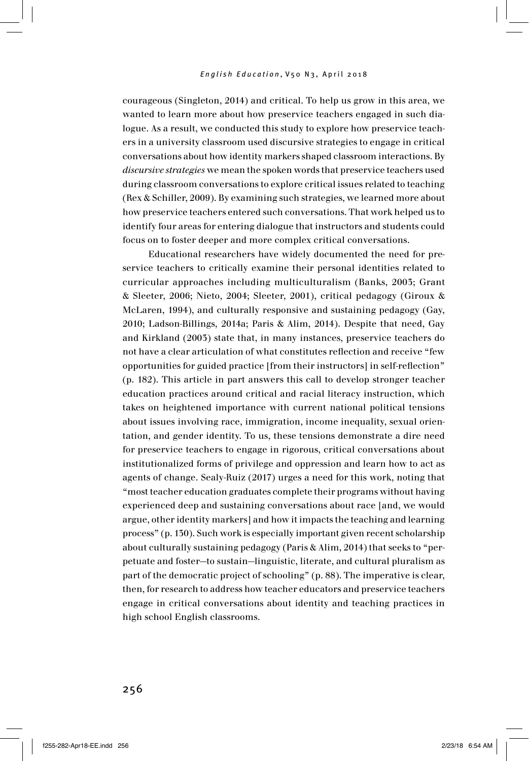courageous (Singleton, 2014) and critical. To help us grow in this area, we wanted to learn more about how preservice teachers engaged in such dialogue. As a result, we conducted this study to explore how preservice teachers in a university classroom used discursive strategies to engage in critical conversations about how identity markers shaped classroom interactions. By *discursive strategies* we mean the spoken words that preservice teachers used during classroom conversations to explore critical issues related to teaching (Rex & Schiller, 2009). By examining such strategies, we learned more about how preservice teachers entered such conversations. That work helped us to identify four areas for entering dialogue that instructors and students could focus on to foster deeper and more complex critical conversations.

Educational researchers have widely documented the need for preservice teachers to critically examine their personal identities related to curricular approaches including multiculturalism (Banks, 2003; Grant & Sleeter, 2006; Nieto, 2004; Sleeter, 2001), critical pedagogy (Giroux & McLaren, 1994), and culturally responsive and sustaining pedagogy (Gay, 2010; Ladson-Billings, 2014a; Paris & Alim, 2014). Despite that need, Gay and Kirkland (2003) state that, in many instances, preservice teachers do not have a clear articulation of what constitutes reflection and receive "few opportunities for guided practice [from their instructors] in self-reflection" (p. 182). This article in part answers this call to develop stronger teacher education practices around critical and racial literacy instruction, which takes on heightened importance with current national political tensions about issues involving race, immigration, income inequality, sexual orientation, and gender identity. To us, these tensions demonstrate a dire need for preservice teachers to engage in rigorous, critical conversations about institutionalized forms of privilege and oppression and learn how to act as agents of change. Sealy-Ruiz (2017) urges a need for this work, noting that "most teacher education graduates complete their programs without having experienced deep and sustaining conversations about race [and, we would argue, other identity markers] and how it impacts the teaching and learning process" (p. 130). Such work is especially important given recent scholarship about culturally sustaining pedagogy (Paris & Alim, 2014) that seeks to "perpetuate and foster—to sustain—linguistic, literate, and cultural pluralism as part of the democratic project of schooling" (p. 88). The imperative is clear, then, for research to address how teacher educators and preservice teachers engage in critical conversations about identity and teaching practices in high school English classrooms.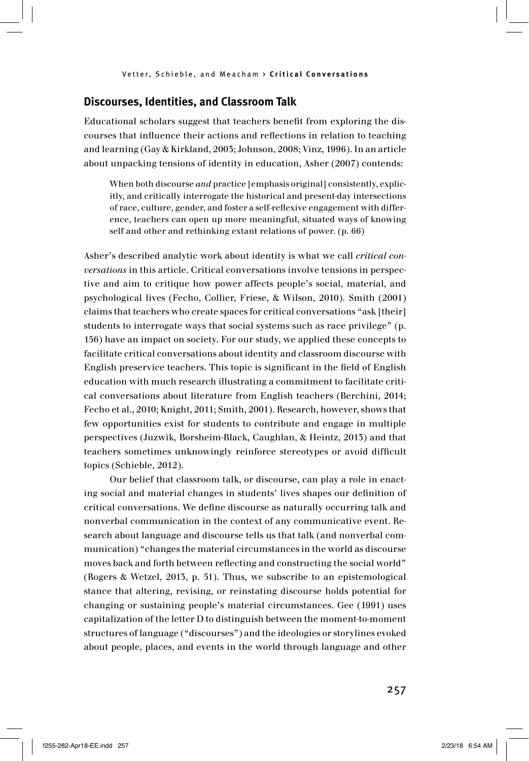#### **Discourses, Identities, and Classroom Talk**

Educational scholars suggest that teachers benefit from exploring the discourses that influence their actions and reflections in relation to teaching and learning (Gay & Kirkland, 2003; Johnson, 2008; Vinz, 1996). In an article about unpacking tensions of identity in education, Asher (2007) contends:

When both discourse *and* practice [emphasis original] consistently, explicitly, and critically interrogate the historical and present-day intersections of race, culture, gender, and foster a self-reflexive engagement with difference, teachers can open up more meaningful, situated ways of knowing self and other and rethinking extant relations of power. (p. 66)

Asher's described analytic work about identity is what we call *critical conversations* in this article. Critical conversations involve tensions in perspective and aim to critique how power affects people's social, material, and psychological lives (Fecho, Collier, Friese, & Wilson, 2010). Smith (2001) claims that teachers who create spaces for critical conversations "ask [their] students to interrogate ways that social systems such as race privilege" (p. 156) have an impact on society. For our study, we applied these concepts to facilitate critical conversations about identity and classroom discourse with English preservice teachers. This topic is significant in the field of English education with much research illustrating a commitment to facilitate critical conversations about literature from English teachers (Berchini, 2014; Fecho et al., 2010; Knight, 2011; Smith, 2001). Research, however, shows that few opportunities exist for students to contribute and engage in multiple perspectives (Juzwik, Borsheim-Black, Caughlan, & Heintz, 2013) and that teachers sometimes unknowingly reinforce stereotypes or avoid difficult topics (Schieble, 2012).

Our belief that classroom talk, or discourse, can play a role in enacting social and material changes in students' lives shapes our definition of critical conversations. We define discourse as naturally occurring talk and nonverbal communication in the context of any communicative event. Research about language and discourse tells us that talk (and nonverbal communication) "changes the material circumstances in the world as discourse moves back and forth between reflecting and constructing the social world" (Rogers & Wetzel, 2013, p. 51). Thus, we subscribe to an epistemological stance that altering, revising, or reinstating discourse holds potential for changing or sustaining people's material circumstances. Gee (1991) uses capitalization of the letter D to distinguish between the moment-to-moment structures of language ("discourses") and the ideologies or storylines evoked about people, places, and events in the world through language and other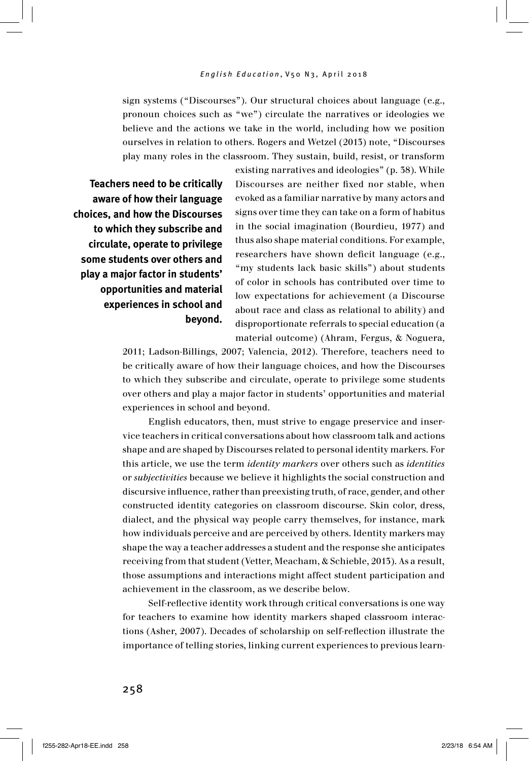sign systems ("Discourses"). Our structural choices about language (e.g., pronoun choices such as "we") circulate the narratives or ideologies we believe and the actions we take in the world, including how we position ourselves in relation to others. Rogers and Wetzel (2013) note, "Discourses play many roles in the classroom. They sustain, build, resist, or transform

**Teachers need to be critically aware of how their language choices, and how the Discourses to which they subscribe and circulate, operate to privilege some students over others and play a major factor in students' opportunities and material experiences in school and beyond.** 

existing narratives and ideologies" (p. 38). While Discourses are neither fixed nor stable, when evoked as a familiar narrative by many actors and signs over time they can take on a form of habitus in the social imagination (Bourdieu, 1977) and thus also shape material conditions. For example, researchers have shown deficit language (e.g., "my students lack basic skills") about students of color in schools has contributed over time to low expectations for achievement (a Discourse about race and class as relational to ability) and disproportionate referrals to special education (a material outcome) (Ahram, Fergus, & Noguera,

2011; Ladson-Billings, 2007; Valencia, 2012). Therefore, teachers need to be critically aware of how their language choices, and how the Discourses to which they subscribe and circulate, operate to privilege some students over others and play a major factor in students' opportunities and material experiences in school and beyond.

English educators, then, must strive to engage preservice and inservice teachers in critical conversations about how classroom talk and actions shape and are shaped by Discourses related to personal identity markers. For this article, we use the term *identity markers* over others such as *identities* or *subjectivities* because we believe it highlights the social construction and discursive influence, rather than preexisting truth, of race, gender, and other constructed identity categories on classroom discourse. Skin color, dress, dialect, and the physical way people carry themselves, for instance, mark how individuals perceive and are perceived by others. Identity markers may shape the way a teacher addresses a student and the response she anticipates receiving from that student (Vetter, Meacham, & Schieble, 2013). As a result, those assumptions and interactions might affect student participation and achievement in the classroom, as we describe below.

Self-reflective identity work through critical conversations is one way for teachers to examine how identity markers shaped classroom interactions (Asher, 2007). Decades of scholarship on self-reflection illustrate the importance of telling stories, linking current experiences to previous learn-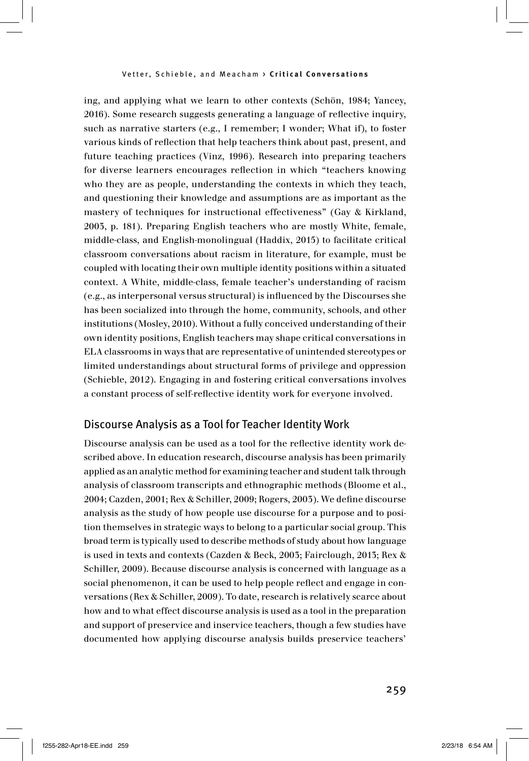ing, and applying what we learn to other contexts (Schön, 1984; Yancey, 2016). Some research suggests generating a language of reflective inquiry, such as narrative starters (e.g., I remember; I wonder; What if), to foster various kinds of reflection that help teachers think about past, present, and future teaching practices (Vinz, 1996). Research into preparing teachers for diverse learners encourages reflection in which "teachers knowing who they are as people, understanding the contexts in which they teach, and questioning their knowledge and assumptions are as important as the mastery of techniques for instructional effectiveness" (Gay & Kirkland, 2003, p. 181). Preparing English teachers who are mostly White, female, middle-class, and English-monolingual (Haddix, 2015) to facilitate critical classroom conversations about racism in literature, for example, must be coupled with locating their own multiple identity positions within a situated context. A White, middle-class, female teacher's understanding of racism (e.g., as interpersonal versus structural) is influenced by the Discourses she has been socialized into through the home, community, schools, and other institutions (Mosley, 2010). Without a fully conceived understanding of their own identity positions, English teachers may shape critical conversations in ELA classrooms in ways that are representative of unintended stereotypes or limited understandings about structural forms of privilege and oppression (Schieble, 2012). Engaging in and fostering critical conversations involves a constant process of self-reflective identity work for everyone involved.

#### Discourse Analysis as a Tool for Teacher Identity Work

Discourse analysis can be used as a tool for the reflective identity work described above. In education research, discourse analysis has been primarily applied as an analytic method for examining teacher and student talk through analysis of classroom transcripts and ethnographic methods (Bloome et al., 2004; Cazden, 2001; Rex & Schiller, 2009; Rogers, 2003). We define discourse analysis as the study of how people use discourse for a purpose and to position themselves in strategic ways to belong to a particular social group. This broad term is typically used to describe methods of study about how language is used in texts and contexts (Cazden & Beck, 2003; Fairclough, 2013; Rex & Schiller, 2009). Because discourse analysis is concerned with language as a social phenomenon, it can be used to help people reflect and engage in conversations (Rex & Schiller, 2009). To date, research is relatively scarce about how and to what effect discourse analysis is used as a tool in the preparation and support of preservice and inservice teachers, though a few studies have documented how applying discourse analysis builds preservice teachers'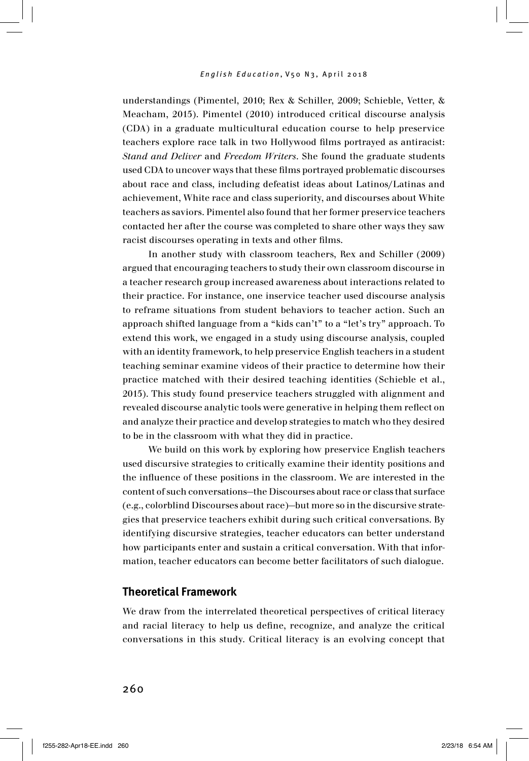understandings (Pimentel, 2010; Rex & Schiller, 2009; Schieble, Vetter, & Meacham, 2015). Pimentel (2010) introduced critical discourse analysis (CDA) in a graduate multicultural education course to help preservice teachers explore race talk in two Hollywood films portrayed as antiracist: *Stand and Deliver* and *Freedom Writers*. She found the graduate students used CDA to uncover ways that these films portrayed problematic discourses about race and class, including defeatist ideas about Latinos/Latinas and achievement, White race and class superiority, and discourses about White teachers as saviors. Pimentel also found that her former preservice teachers contacted her after the course was completed to share other ways they saw racist discourses operating in texts and other films.

In another study with classroom teachers, Rex and Schiller (2009) argued that encouraging teachers to study their own classroom discourse in a teacher research group increased awareness about interactions related to their practice. For instance, one inservice teacher used discourse analysis to reframe situations from student behaviors to teacher action. Such an approach shifted language from a "kids can't" to a "let's try" approach. To extend this work, we engaged in a study using discourse analysis, coupled with an identity framework, to help preservice English teachers in a student teaching seminar examine videos of their practice to determine how their practice matched with their desired teaching identities (Schieble et al., 2015). This study found preservice teachers struggled with alignment and revealed discourse analytic tools were generative in helping them reflect on and analyze their practice and develop strategies to match who they desired to be in the classroom with what they did in practice.

We build on this work by exploring how preservice English teachers used discursive strategies to critically examine their identity positions and the influence of these positions in the classroom. We are interested in the content of such conversations—the Discourses about race or class that surface (e.g., colorblind Discourses about race)—but more so in the discursive strategies that preservice teachers exhibit during such critical conversations. By identifying discursive strategies, teacher educators can better understand how participants enter and sustain a critical conversation. With that information, teacher educators can become better facilitators of such dialogue.

### **Theoretical Framework**

We draw from the interrelated theoretical perspectives of critical literacy and racial literacy to help us define, recognize, and analyze the critical conversations in this study. Critical literacy is an evolving concept that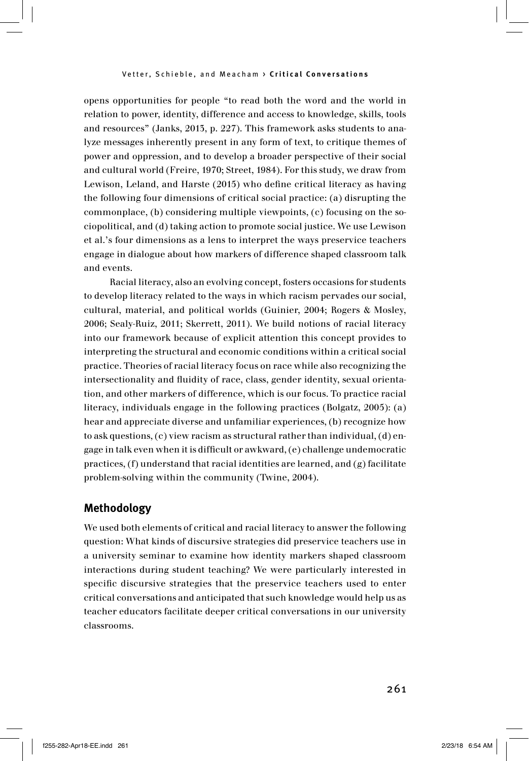opens opportunities for people "to read both the word and the world in relation to power, identity, difference and access to knowledge, skills, tools and resources" (Janks, 2013, p. 227). This framework asks students to analyze messages inherently present in any form of text, to critique themes of power and oppression, and to develop a broader perspective of their social and cultural world (Freire, 1970; Street, 1984). For this study, we draw from Lewison, Leland, and Harste (2015) who define critical literacy as having the following four dimensions of critical social practice: (a) disrupting the commonplace, (b) considering multiple viewpoints, (c) focusing on the sociopolitical, and (d) taking action to promote social justice. We use Lewison et al.'s four dimensions as a lens to interpret the ways preservice teachers engage in dialogue about how markers of difference shaped classroom talk and events.

Racial literacy, also an evolving concept, fosters occasions for students to develop literacy related to the ways in which racism pervades our social, cultural, material, and political worlds (Guinier, 2004; Rogers & Mosley, 2006; Sealy-Ruiz, 2011; Skerrett, 2011). We build notions of racial literacy into our framework because of explicit attention this concept provides to interpreting the structural and economic conditions within a critical social practice. Theories of racial literacy focus on race while also recognizing the intersectionality and fluidity of race, class, gender identity, sexual orientation, and other markers of difference, which is our focus. To practice racial literacy, individuals engage in the following practices (Bolgatz, 2005): (a) hear and appreciate diverse and unfamiliar experiences, (b) recognize how to ask questions, (c) view racism as structural rather than individual, (d) engage in talk even when it is difficult or awkward, (e) challenge undemocratic practices, (f) understand that racial identities are learned, and (g) facilitate problem-solving within the community (Twine, 2004).

### **Methodology**

We used both elements of critical and racial literacy to answer the following question: What kinds of discursive strategies did preservice teachers use in a university seminar to examine how identity markers shaped classroom interactions during student teaching? We were particularly interested in specific discursive strategies that the preservice teachers used to enter critical conversations and anticipated that such knowledge would help us as teacher educators facilitate deeper critical conversations in our university classrooms.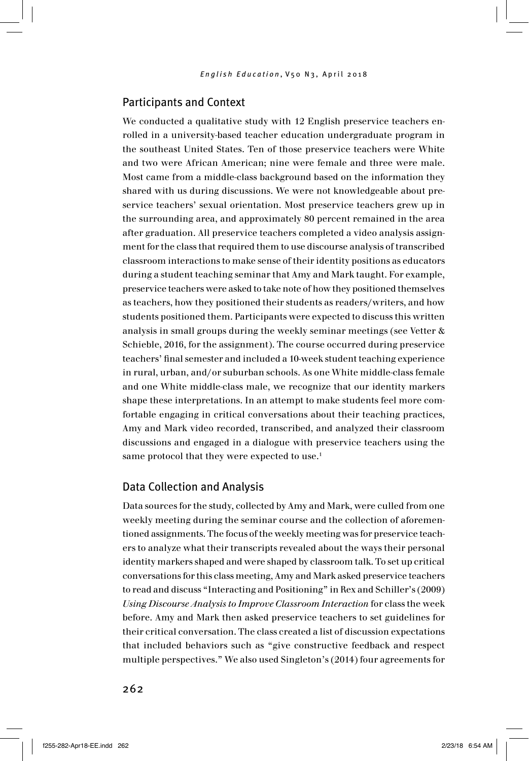### Participants and Context

We conducted a qualitative study with 12 English preservice teachers enrolled in a university-based teacher education undergraduate program in the southeast United States. Ten of those preservice teachers were White and two were African American; nine were female and three were male. Most came from a middle-class background based on the information they shared with us during discussions. We were not knowledgeable about preservice teachers' sexual orientation. Most preservice teachers grew up in the surrounding area, and approximately 80 percent remained in the area after graduation. All preservice teachers completed a video analysis assignment for the class that required them to use discourse analysis of transcribed classroom interactions to make sense of their identity positions as educators during a student teaching seminar that Amy and Mark taught. For example, preservice teachers were asked to take note of how they positioned themselves as teachers, how they positioned their students as readers/writers, and how students positioned them. Participants were expected to discuss this written analysis in small groups during the weekly seminar meetings (see Vetter & Schieble, 2016, for the assignment). The course occurred during preservice teachers' final semester and included a 10-week student teaching experience in rural, urban, and/or suburban schools. As one White middle-class female and one White middle-class male, we recognize that our identity markers shape these interpretations. In an attempt to make students feel more comfortable engaging in critical conversations about their teaching practices, Amy and Mark video recorded, transcribed, and analyzed their classroom discussions and engaged in a dialogue with preservice teachers using the same protocol that they were expected to use.<sup>1</sup>

### Data Collection and Analysis

Data sources for the study, collected by Amy and Mark, were culled from one weekly meeting during the seminar course and the collection of aforementioned assignments. The focus of the weekly meeting was for preservice teachers to analyze what their transcripts revealed about the ways their personal identity markers shaped and were shaped by classroom talk. To set up critical conversations for this class meeting, Amy and Mark asked preservice teachers to read and discuss "Interacting and Positioning" in Rex and Schiller's (2009) *Using Discourse Analysis to Improve Classroom Interaction* for class the week before. Amy and Mark then asked preservice teachers to set guidelines for their critical conversation. The class created a list of discussion expectations that included behaviors such as "give constructive feedback and respect multiple perspectives." We also used Singleton's (2014) four agreements for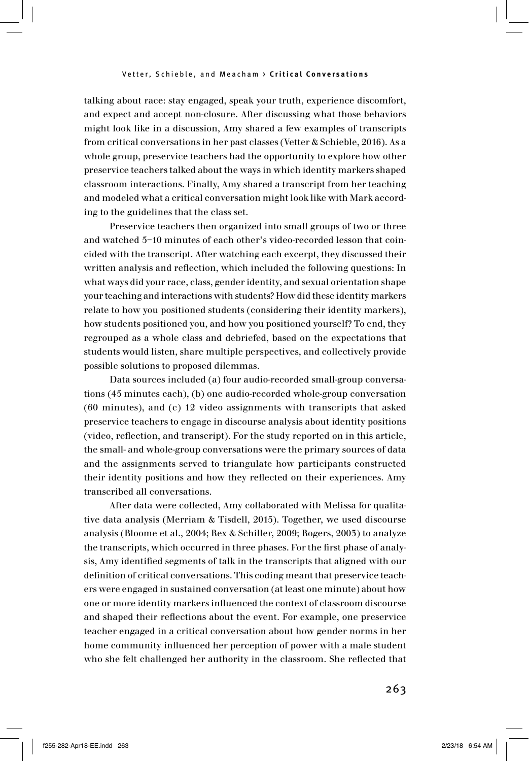talking about race: stay engaged, speak your truth, experience discomfort, and expect and accept non-closure. After discussing what those behaviors might look like in a discussion, Amy shared a few examples of transcripts from critical conversations in her past classes (Vetter & Schieble, 2016). As a whole group, preservice teachers had the opportunity to explore how other preservice teachers talked about the ways in which identity markers shaped classroom interactions. Finally, Amy shared a transcript from her teaching and modeled what a critical conversation might look like with Mark according to the guidelines that the class set.

Preservice teachers then organized into small groups of two or three and watched 5–10 minutes of each other's video-recorded lesson that coincided with the transcript. After watching each excerpt, they discussed their written analysis and reflection, which included the following questions: In what ways did your race, class, gender identity, and sexual orientation shape your teaching and interactions with students? How did these identity markers relate to how you positioned students (considering their identity markers), how students positioned you, and how you positioned yourself? To end, they regrouped as a whole class and debriefed, based on the expectations that students would listen, share multiple perspectives, and collectively provide possible solutions to proposed dilemmas.

Data sources included (a) four audio-recorded small-group conversations (45 minutes each), (b) one audio-recorded whole-group conversation (60 minutes), and (c) 12 video assignments with transcripts that asked preservice teachers to engage in discourse analysis about identity positions (video, reflection, and transcript). For the study reported on in this article, the small- and whole-group conversations were the primary sources of data and the assignments served to triangulate how participants constructed their identity positions and how they reflected on their experiences. Amy transcribed all conversations.

After data were collected, Amy collaborated with Melissa for qualitative data analysis (Merriam & Tisdell, 2015). Together, we used discourse analysis (Bloome et al., 2004; Rex & Schiller, 2009; Rogers, 2003) to analyze the transcripts, which occurred in three phases. For the first phase of analysis, Amy identified segments of talk in the transcripts that aligned with our definition of critical conversations. This coding meant that preservice teachers were engaged in sustained conversation (at least one minute) about how one or more identity markers influenced the context of classroom discourse and shaped their reflections about the event. For example, one preservice teacher engaged in a critical conversation about how gender norms in her home community influenced her perception of power with a male student who she felt challenged her authority in the classroom. She reflected that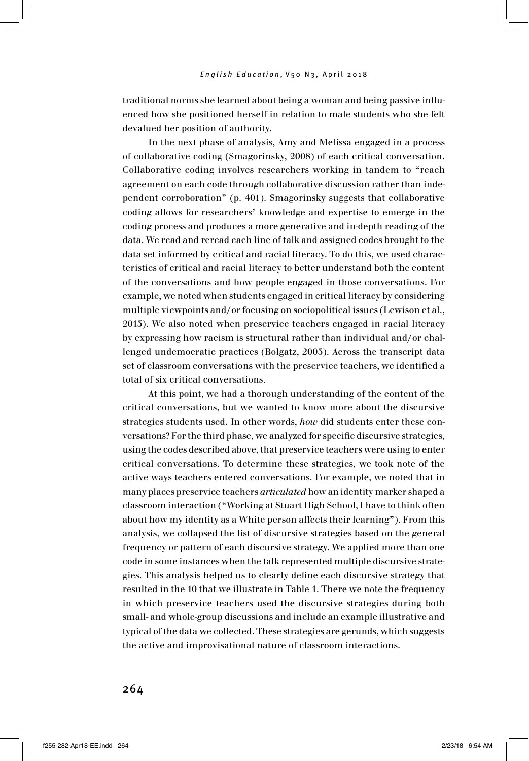traditional norms she learned about being a woman and being passive influenced how she positioned herself in relation to male students who she felt devalued her position of authority.

In the next phase of analysis, Amy and Melissa engaged in a process of collaborative coding (Smagorinsky, 2008) of each critical conversation. Collaborative coding involves researchers working in tandem to "reach agreement on each code through collaborative discussion rather than independent corroboration" (p. 401). Smagorinsky suggests that collaborative coding allows for researchers' knowledge and expertise to emerge in the coding process and produces a more generative and in-depth reading of the data. We read and reread each line of talk and assigned codes brought to the data set informed by critical and racial literacy. To do this, we used characteristics of critical and racial literacy to better understand both the content of the conversations and how people engaged in those conversations. For example, we noted when students engaged in critical literacy by considering multiple viewpoints and/or focusing on sociopolitical issues (Lewison et al., 2015). We also noted when preservice teachers engaged in racial literacy by expressing how racism is structural rather than individual and/or challenged undemocratic practices (Bolgatz, 2005). Across the transcript data set of classroom conversations with the preservice teachers, we identified a total of six critical conversations.

At this point, we had a thorough understanding of the content of the critical conversations, but we wanted to know more about the discursive strategies students used. In other words, *how* did students enter these conversations? For the third phase, we analyzed for specific discursive strategies, using the codes described above, that preservice teachers were using to enter critical conversations. To determine these strategies, we took note of the active ways teachers entered conversations. For example, we noted that in many places preservice teachers *articulated* how an identity marker shaped a classroom interaction ("Working at Stuart High School, I have to think often about how my identity as a White person affects their learning"). From this analysis, we collapsed the list of discursive strategies based on the general frequency or pattern of each discursive strategy. We applied more than one code in some instances when the talk represented multiple discursive strategies. This analysis helped us to clearly define each discursive strategy that resulted in the 10 that we illustrate in Table 1. There we note the frequency in which preservice teachers used the discursive strategies during both small- and whole-group discussions and include an example illustrative and typical of the data we collected. These strategies are gerunds, which suggests the active and improvisational nature of classroom interactions.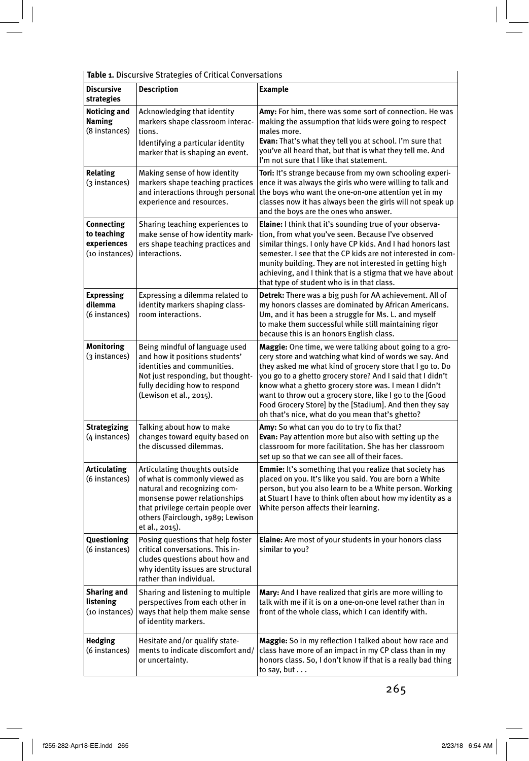**Table 1.** Discursive Strategies of Critical Conversations

| Table 1. Discursive Strategies of Critical Conversations   |                                                                                                                                                                                                                             |                                                                                                                                                                                                                                                                                                                                                                                                                                                                                         |
|------------------------------------------------------------|-----------------------------------------------------------------------------------------------------------------------------------------------------------------------------------------------------------------------------|-----------------------------------------------------------------------------------------------------------------------------------------------------------------------------------------------------------------------------------------------------------------------------------------------------------------------------------------------------------------------------------------------------------------------------------------------------------------------------------------|
| <b>Discursive</b><br>strategies                            | Description                                                                                                                                                                                                                 | <b>Example</b>                                                                                                                                                                                                                                                                                                                                                                                                                                                                          |
| <b>Noticing and</b><br>Naming<br>(8 instances)             | Acknowledging that identity<br>markers shape classroom interac-<br>tions.<br>Identifying a particular identity<br>marker that is shaping an event.                                                                          | Amy: For him, there was some sort of connection. He was<br>making the assumption that kids were going to respect<br>males more.<br>Evan: That's what they tell you at school. I'm sure that<br>you've all heard that, but that is what they tell me. And<br>I'm not sure that I like that statement.                                                                                                                                                                                    |
| <b>Relating</b><br>(3 instances)                           | Making sense of how identity<br>markers shape teaching practices<br>and interactions through personal<br>experience and resources.                                                                                          | Tori: It's strange because from my own schooling experi-<br>ence it was always the girls who were willing to talk and<br>the boys who want the one-on-one attention yet in my<br>classes now it has always been the girls will not speak up<br>and the boys are the ones who answer.                                                                                                                                                                                                    |
| Connecting<br>to teaching<br>experiences<br>(10 instances) | Sharing teaching experiences to<br>make sense of how identity mark-<br>ers shape teaching practices and<br>interactions.                                                                                                    | <b>Elaine:</b> I think that it's sounding true of your observa-<br>tion, from what you've seen. Because I've observed<br>similar things. I only have CP kids. And I had honors last<br>semester. I see that the CP kids are not interested in com-<br>munity building. They are not interested in getting high<br>achieving, and I think that is a stigma that we have about<br>that type of student who is in that class.                                                              |
| <b>Expressing</b><br>dilemma<br>(6 instances)              | Expressing a dilemma related to<br>identity markers shaping class-<br>room interactions.                                                                                                                                    | <b>Detrek:</b> There was a big push for AA achievement. All of<br>my honors classes are dominated by African Americans.<br>Um, and it has been a struggle for Ms. L. and myself<br>to make them successful while still maintaining rigor<br>because this is an honors English class.                                                                                                                                                                                                    |
| Monitoring<br>(3 instances)                                | Being mindful of language used<br>and how it positions students'<br>identities and communities.<br>Not just responding, but thought-<br>fully deciding how to respond<br>(Lewison et al., 2015).                            | <b>Maggie:</b> One time, we were talking about going to a gro-<br>cery store and watching what kind of words we say. And<br>they asked me what kind of grocery store that I go to. Do<br>you go to a ghetto grocery store? And I said that I didn't<br>know what a ghetto grocery store was. I mean I didn't<br>want to throw out a grocery store, like I go to the [Good<br>Food Grocery Store] by the [Stadium]. And then they say<br>oh that's nice, what do you mean that's ghetto? |
| <b>Strategizing</b><br>(4 instances)                       | Talking about how to make<br>changes toward equity based on<br>the discussed dilemmas.                                                                                                                                      | Amy: So what can you do to try to fix that?<br><b>Evan:</b> Pay attention more but also with setting up the<br>classroom for more facilitation. She has her classroom<br>set up so that we can see all of their faces.                                                                                                                                                                                                                                                                  |
| <b>Articulating</b><br>(6 instances)                       | Articulating thoughts outside<br>of what is commonly viewed as<br>natural and recognizing com-<br>monsense power relationships<br>that privilege certain people over<br>others (Fairclough, 1989; Lewison<br>et al., 2015). | <b>Emmie:</b> It's something that you realize that society has<br>placed on you. It's like you said. You are born a White<br>person, but you also learn to be a White person. Working<br>at Stuart I have to think often about how my identity as a<br>White person affects their learning.                                                                                                                                                                                             |
| Questioning<br>(6 instances)                               | Posing questions that help foster<br>critical conversations. This in-<br>cludes questions about how and<br>why identity issues are structural<br>rather than individual.                                                    | Elaine: Are most of your students in your honors class<br>similar to you?                                                                                                                                                                                                                                                                                                                                                                                                               |
| <b>Sharing and</b><br>listening<br>(10 instances)          | Sharing and listening to multiple<br>perspectives from each other in<br>ways that help them make sense<br>of identity markers.                                                                                              | Mary: And I have realized that girls are more willing to<br>talk with me if it is on a one-on-one level rather than in<br>front of the whole class, which I can identify with.                                                                                                                                                                                                                                                                                                          |
| Hedging<br>(6 instances)                                   | Hesitate and/or qualify state-<br>ments to indicate discomfort and/<br>or uncertainty.                                                                                                                                      | Maggie: So in my reflection I talked about how race and<br>class have more of an impact in my CP class than in my<br>honors class. So, I don't know if that is a really bad thing<br>to say, but                                                                                                                                                                                                                                                                                        |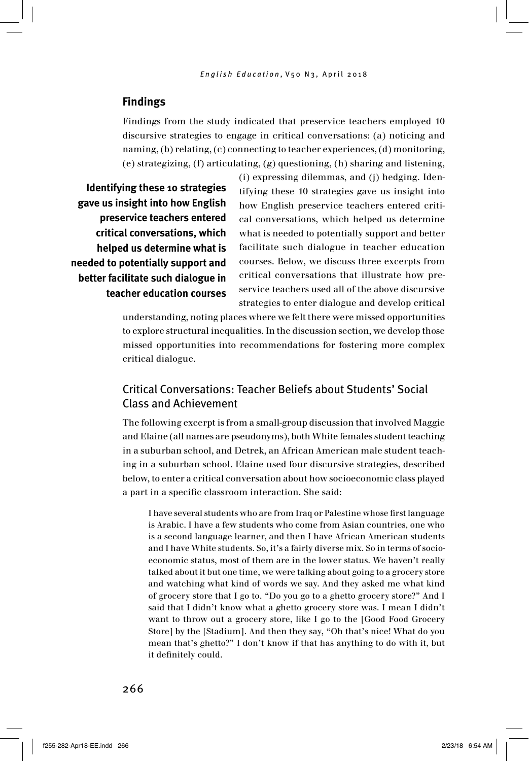### **Findings**

Findings from the study indicated that preservice teachers employed 10 discursive strategies to engage in critical conversations: (a) noticing and naming, (b) relating, (c) connecting to teacher experiences, (d) monitoring, (e) strategizing, (f) articulating, (g) questioning, (h) sharing and listening,

**Identifying these 10 strategies gave us insight into how English preservice teachers entered critical conversations, which helped us determine what is needed to potentially support and better facilitate such dialogue in teacher education courses** (i) expressing dilemmas, and (j) hedging. Identifying these 10 strategies gave us insight into how English preservice teachers entered critical conversations, which helped us determine what is needed to potentially support and better facilitate such dialogue in teacher education courses. Below, we discuss three excerpts from critical conversations that illustrate how preservice teachers used all of the above discursive strategies to enter dialogue and develop critical

understanding, noting places where we felt there were missed opportunities to explore structural inequalities. In the discussion section, we develop those missed opportunities into recommendations for fostering more complex critical dialogue.

### Critical Conversations: Teacher Beliefs about Students' Social Class and Achievement

The following excerpt is from a small-group discussion that involved Maggie and Elaine (all names are pseudonyms), both White females student teaching in a suburban school, and Detrek, an African American male student teaching in a suburban school. Elaine used four discursive strategies, described below, to enter a critical conversation about how socioeconomic class played a part in a specific classroom interaction. She said:

I have several students who are from Iraq or Palestine whose first language is Arabic. I have a few students who come from Asian countries, one who is a second language learner, and then I have African American students and I have White students. So, it's a fairly diverse mix. So in terms of socioeconomic status, most of them are in the lower status. We haven't really talked about it but one time, we were talking about going to a grocery store and watching what kind of words we say. And they asked me what kind of grocery store that I go to. "Do you go to a ghetto grocery store?" And I said that I didn't know what a ghetto grocery store was. I mean I didn't want to throw out a grocery store, like I go to the [Good Food Grocery Store] by the [Stadium]. And then they say, "Oh that's nice! What do you mean that's ghetto?" I don't know if that has anything to do with it, but it definitely could.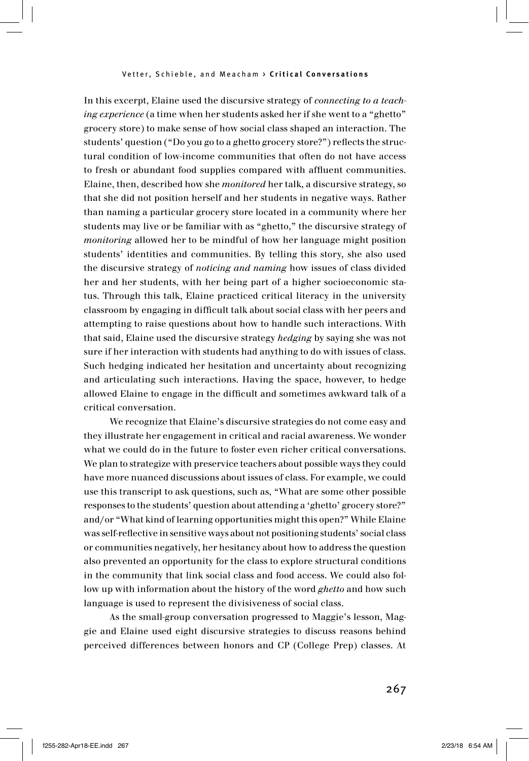In this excerpt, Elaine used the discursive strategy of *connecting to a teaching experience* (a time when her students asked her if she went to a "ghetto" grocery store) to make sense of how social class shaped an interaction. The students' question ("Do you go to a ghetto grocery store?") reflects the structural condition of low-income communities that often do not have access to fresh or abundant food supplies compared with affluent communities. Elaine, then, described how she *monitored* her talk, a discursive strategy, so that she did not position herself and her students in negative ways. Rather than naming a particular grocery store located in a community where her students may live or be familiar with as "ghetto," the discursive strategy of *monitoring* allowed her to be mindful of how her language might position students' identities and communities. By telling this story, she also used the discursive strategy of *noticing and naming* how issues of class divided her and her students, with her being part of a higher socioeconomic status. Through this talk, Elaine practiced critical literacy in the university classroom by engaging in difficult talk about social class with her peers and attempting to raise questions about how to handle such interactions. With that said, Elaine used the discursive strategy *hedging* by saying she was not sure if her interaction with students had anything to do with issues of class. Such hedging indicated her hesitation and uncertainty about recognizing and articulating such interactions. Having the space, however, to hedge allowed Elaine to engage in the difficult and sometimes awkward talk of a critical conversation.

We recognize that Elaine's discursive strategies do not come easy and they illustrate her engagement in critical and racial awareness. We wonder what we could do in the future to foster even richer critical conversations. We plan to strategize with preservice teachers about possible ways they could have more nuanced discussions about issues of class. For example, we could use this transcript to ask questions, such as, "What are some other possible responses to the students' question about attending a 'ghetto' grocery store?" and/or "What kind of learning opportunities might this open?" While Elaine was self-reflective in sensitive ways about not positioning students' social class or communities negatively, her hesitancy about how to address the question also prevented an opportunity for the class to explore structural conditions in the community that link social class and food access. We could also follow up with information about the history of the word *ghetto* and how such language is used to represent the divisiveness of social class.

As the small-group conversation progressed to Maggie's lesson, Maggie and Elaine used eight discursive strategies to discuss reasons behind perceived differences between honors and CP (College Prep) classes. At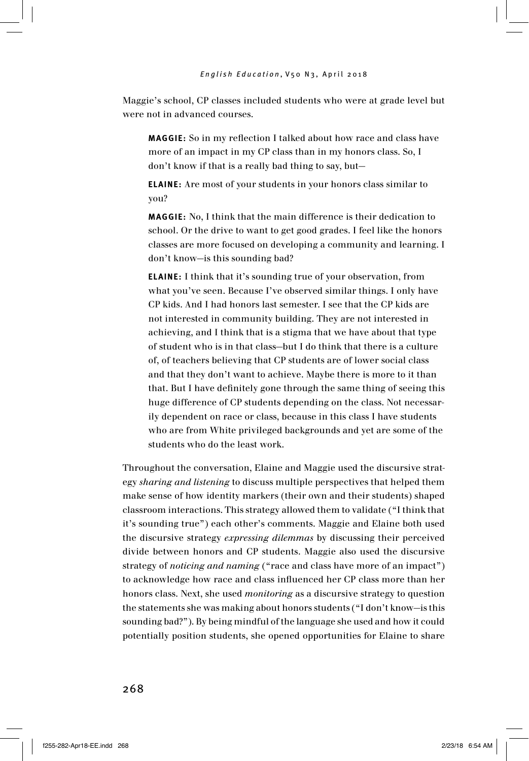Maggie's school, CP classes included students who were at grade level but were not in advanced courses.

**MAGGIE:** So in my reflection I talked about how race and class have more of an impact in my CP class than in my honors class. So, I don't know if that is a really bad thing to say, but—

**ELAINE:** Are most of your students in your honors class similar to you?

**MAGGIE:** No. I think that the main difference is their dedication to school. Or the drive to want to get good grades. I feel like the honors classes are more focused on developing a community and learning. I don't know—is this sounding bad?

**ELAINE:** I think that it's sounding true of your observation, from what you've seen. Because I've observed similar things. I only have CP kids. And I had honors last semester. I see that the CP kids are not interested in community building. They are not interested in achieving, and I think that is a stigma that we have about that type of student who is in that class—but I do think that there is a culture of, of teachers believing that CP students are of lower social class and that they don't want to achieve. Maybe there is more to it than that. But I have definitely gone through the same thing of seeing this huge difference of CP students depending on the class. Not necessarily dependent on race or class, because in this class I have students who are from White privileged backgrounds and yet are some of the students who do the least work.

Throughout the conversation, Elaine and Maggie used the discursive strategy *sharing and listening* to discuss multiple perspectives that helped them make sense of how identity markers (their own and their students) shaped classroom interactions. This strategy allowed them to validate ("I think that it's sounding true") each other's comments. Maggie and Elaine both used the discursive strategy *expressing dilemmas* by discussing their perceived divide between honors and CP students. Maggie also used the discursive strategy of *noticing and naming* ("race and class have more of an impact") to acknowledge how race and class influenced her CP class more than her honors class. Next, she used *monitoring* as a discursive strategy to question the statements she was making about honors students ("I don't know—is this sounding bad?"). By being mindful of the language she used and how it could potentially position students, she opened opportunities for Elaine to share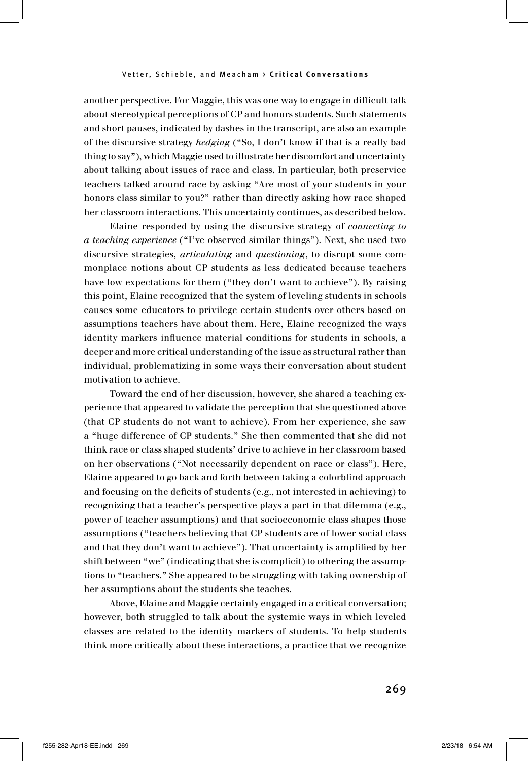another perspective. For Maggie, this was one way to engage in difficult talk about stereotypical perceptions of CP and honors students. Such statements and short pauses, indicated by dashes in the transcript, are also an example of the discursive strategy *hedging* ("So, I don't know if that is a really bad thing to say"), which Maggie used to illustrate her discomfort and uncertainty about talking about issues of race and class. In particular, both preservice teachers talked around race by asking "Are most of your students in your honors class similar to you?" rather than directly asking how race shaped her classroom interactions. This uncertainty continues, as described below.

Elaine responded by using the discursive strategy of *connecting to a teaching experience* ("I've observed similar things"). Next, she used two discursive strategies, *articulating* and *questioning*, to disrupt some commonplace notions about CP students as less dedicated because teachers have low expectations for them ("they don't want to achieve"). By raising this point, Elaine recognized that the system of leveling students in schools causes some educators to privilege certain students over others based on assumptions teachers have about them. Here, Elaine recognized the ways identity markers influence material conditions for students in schools, a deeper and more critical understanding of the issue as structural rather than individual, problematizing in some ways their conversation about student motivation to achieve.

Toward the end of her discussion, however, she shared a teaching experience that appeared to validate the perception that she questioned above (that CP students do not want to achieve). From her experience, she saw a "huge difference of CP students." She then commented that she did not think race or class shaped students' drive to achieve in her classroom based on her observations ("Not necessarily dependent on race or class"). Here, Elaine appeared to go back and forth between taking a colorblind approach and focusing on the deficits of students (e.g., not interested in achieving) to recognizing that a teacher's perspective plays a part in that dilemma (e.g., power of teacher assumptions) and that socioeconomic class shapes those assumptions ("teachers believing that CP students are of lower social class and that they don't want to achieve"). That uncertainty is amplified by her shift between "we" (indicating that she is complicit) to othering the assumptions to "teachers." She appeared to be struggling with taking ownership of her assumptions about the students she teaches.

Above, Elaine and Maggie certainly engaged in a critical conversation; however, both struggled to talk about the systemic ways in which leveled classes are related to the identity markers of students. To help students think more critically about these interactions, a practice that we recognize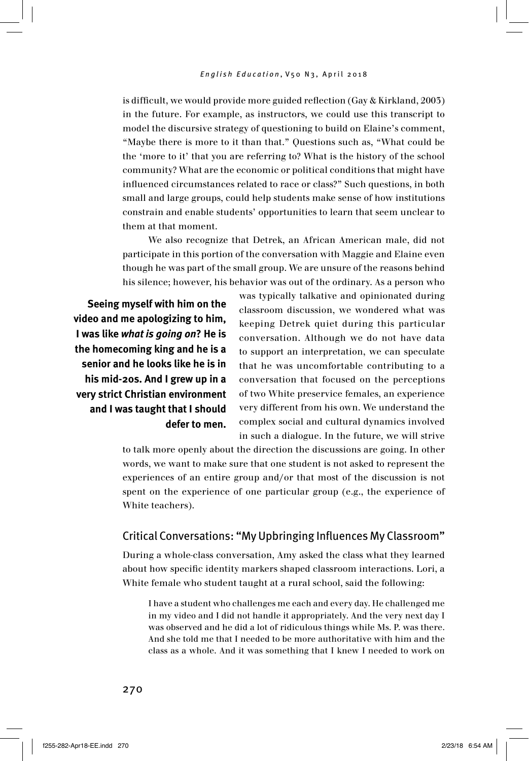is difficult, we would provide more guided reflection (Gay & Kirkland, 2003) in the future. For example, as instructors, we could use this transcript to model the discursive strategy of questioning to build on Elaine's comment, "Maybe there is more to it than that." Questions such as, "What could be the 'more to it' that you are referring to? What is the history of the school community? What are the economic or political conditions that might have influenced circumstances related to race or class?" Such questions, in both small and large groups, could help students make sense of how institutions constrain and enable students' opportunities to learn that seem unclear to them at that moment.

We also recognize that Detrek, an African American male, did not participate in this portion of the conversation with Maggie and Elaine even though he was part of the small group. We are unsure of the reasons behind his silence; however, his behavior was out of the ordinary. As a person who

**Seeing myself with him on the video and me apologizing to him, I was like** *what is going on***? He is the homecoming king and he is a senior and he looks like he is in his mid-20s. And I grew up in a very strict Christian environment and I was taught that I should defer to men.**  was typically talkative and opinionated during classroom discussion, we wondered what was keeping Detrek quiet during this particular conversation. Although we do not have data to support an interpretation, we can speculate that he was uncomfortable contributing to a conversation that focused on the perceptions of two White preservice females, an experience very different from his own. We understand the complex social and cultural dynamics involved in such a dialogue. In the future, we will strive

to talk more openly about the direction the discussions are going. In other words, we want to make sure that one student is not asked to represent the experiences of an entire group and/or that most of the discussion is not spent on the experience of one particular group (e.g., the experience of White teachers).

#### Critical Conversations: "My Upbringing Influences My Classroom"

During a whole-class conversation, Amy asked the class what they learned about how specific identity markers shaped classroom interactions. Lori, a White female who student taught at a rural school, said the following:

I have a student who challenges me each and every day. He challenged me in my video and I did not handle it appropriately. And the very next day I was observed and he did a lot of ridiculous things while Ms. P. was there. And she told me that I needed to be more authoritative with him and the class as a whole. And it was something that I knew I needed to work on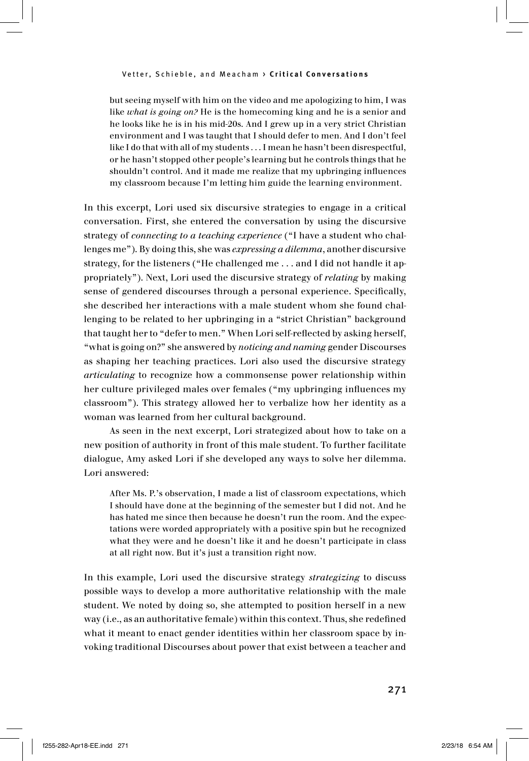but seeing myself with him on the video and me apologizing to him, I was like *what is going on?* He is the homecoming king and he is a senior and he looks like he is in his mid-20s. And I grew up in a very strict Christian environment and I was taught that I should defer to men. And I don't feel like I do that with all of my students . . . I mean he hasn't been disrespectful, or he hasn't stopped other people's learning but he controls things that he shouldn't control. And it made me realize that my upbringing influences my classroom because I'm letting him guide the learning environment.

In this excerpt, Lori used six discursive strategies to engage in a critical conversation. First, she entered the conversation by using the discursive strategy of *connecting to a teaching experience* ("I have a student who challenges me"). By doing this, she was *expressing a dilemma*, another discursive strategy, for the listeners ("He challenged me . . . and I did not handle it appropriately"). Next, Lori used the discursive strategy of *relating* by making sense of gendered discourses through a personal experience. Specifically, she described her interactions with a male student whom she found challenging to be related to her upbringing in a "strict Christian" background that taught her to "defer to men." When Lori self-reflected by asking herself, "what is going on?" she answered by *noticing and naming* gender Discourses as shaping her teaching practices. Lori also used the discursive strategy *articulating* to recognize how a commonsense power relationship within her culture privileged males over females ("my upbringing influences my classroom"). This strategy allowed her to verbalize how her identity as a woman was learned from her cultural background.

As seen in the next excerpt, Lori strategized about how to take on a new position of authority in front of this male student. To further facilitate dialogue, Amy asked Lori if she developed any ways to solve her dilemma. Lori answered:

After Ms. P.'s observation, I made a list of classroom expectations, which I should have done at the beginning of the semester but I did not. And he has hated me since then because he doesn't run the room. And the expectations were worded appropriately with a positive spin but he recognized what they were and he doesn't like it and he doesn't participate in class at all right now. But it's just a transition right now.

In this example, Lori used the discursive strategy *strategizing* to discuss possible ways to develop a more authoritative relationship with the male student. We noted by doing so, she attempted to position herself in a new way (i.e., as an authoritative female) within this context. Thus, she redefined what it meant to enact gender identities within her classroom space by invoking traditional Discourses about power that exist between a teacher and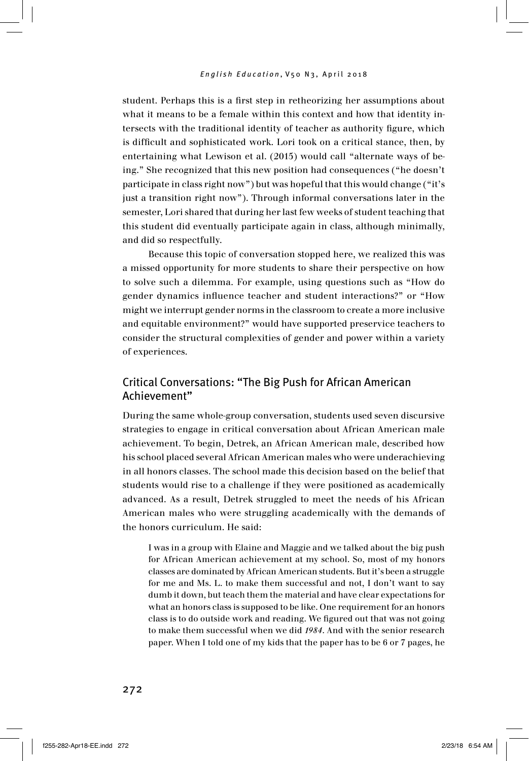student. Perhaps this is a first step in retheorizing her assumptions about what it means to be a female within this context and how that identity intersects with the traditional identity of teacher as authority figure, which is difficult and sophisticated work. Lori took on a critical stance, then, by entertaining what Lewison et al. (2015) would call "alternate ways of being." She recognized that this new position had consequences ("he doesn't participate in class right now") but was hopeful that this would change ("it's just a transition right now"). Through informal conversations later in the semester, Lori shared that during her last few weeks of student teaching that this student did eventually participate again in class, although minimally, and did so respectfully.

Because this topic of conversation stopped here, we realized this was a missed opportunity for more students to share their perspective on how to solve such a dilemma. For example, using questions such as "How do gender dynamics influence teacher and student interactions?" or "How might we interrupt gender norms in the classroom to create a more inclusive and equitable environment?" would have supported preservice teachers to consider the structural complexities of gender and power within a variety of experiences.

### Critical Conversations: "The Big Push for African American Achievement"

During the same whole-group conversation, students used seven discursive strategies to engage in critical conversation about African American male achievement. To begin, Detrek, an African American male, described how his school placed several African American males who were underachieving in all honors classes. The school made this decision based on the belief that students would rise to a challenge if they were positioned as academically advanced. As a result, Detrek struggled to meet the needs of his African American males who were struggling academically with the demands of the honors curriculum. He said:

I was in a group with Elaine and Maggie and we talked about the big push for African American achievement at my school. So, most of my honors classes are dominated by African American students. But it's been a struggle for me and Ms. L. to make them successful and not, I don't want to say dumb it down, but teach them the material and have clear expectations for what an honors class is supposed to be like. One requirement for an honors class is to do outside work and reading. We figured out that was not going to make them successful when we did *1984*. And with the senior research paper. When I told one of my kids that the paper has to be 6 or 7 pages, he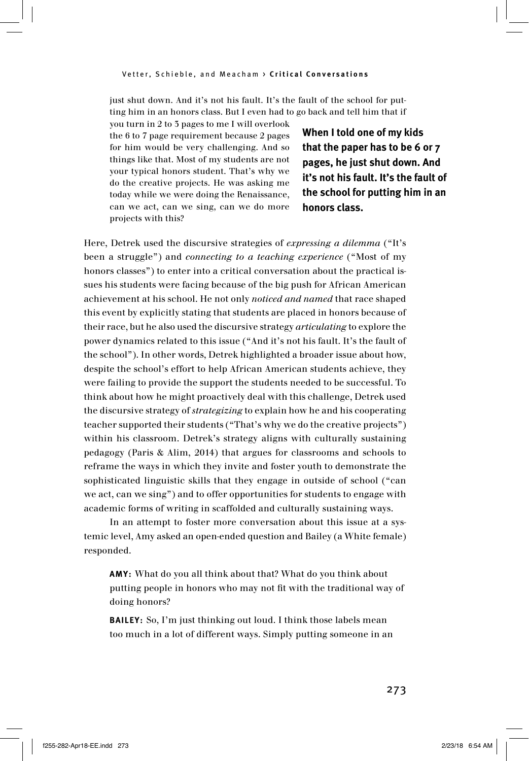just shut down. And it's not his fault. It's the fault of the school for putting him in an honors class. But I even had to go back and tell him that if

you turn in 2 to 3 pages to me I will overlook the 6 to 7 page requirement because 2 pages for him would be very challenging. And so things like that. Most of my students are not your typical honors student. That's why we do the creative projects. He was asking me today while we were doing the Renaissance, can we act, can we sing, can we do more projects with this?

**When I told one of my kids that the paper has to be 6 or 7 pages, he just shut down. And it's not his fault. It's the fault of the school for putting him in an honors class.** 

Here, Detrek used the discursive strategies of *expressing a dilemma* ("It's been a struggle") and *connecting to a teaching experience* ("Most of my honors classes") to enter into a critical conversation about the practical issues his students were facing because of the big push for African American achievement at his school. He not only *noticed and named* that race shaped this event by explicitly stating that students are placed in honors because of their race, but he also used the discursive strategy *articulating* to explore the power dynamics related to this issue ("And it's not his fault. It's the fault of the school"). In other words, Detrek highlighted a broader issue about how, despite the school's effort to help African American students achieve, they were failing to provide the support the students needed to be successful. To think about how he might proactively deal with this challenge, Detrek used the discursive strategy of *strategizing* to explain how he and his cooperating teacher supported their students ("That's why we do the creative projects") within his classroom. Detrek's strategy aligns with culturally sustaining pedagogy (Paris & Alim, 2014) that argues for classrooms and schools to reframe the ways in which they invite and foster youth to demonstrate the sophisticated linguistic skills that they engage in outside of school ("can we act, can we sing") and to offer opportunities for students to engage with academic forms of writing in scaffolded and culturally sustaining ways.

In an attempt to foster more conversation about this issue at a systemic level, Amy asked an open-ended question and Bailey (a White female) responded.

**A y:** What do you all think about that? What do you think about putting people in honors who may not fit with the traditional way of doing honors?

**BAILEY:** So, I'm just thinking out loud. I think those labels mean too much in a lot of different ways. Simply putting someone in an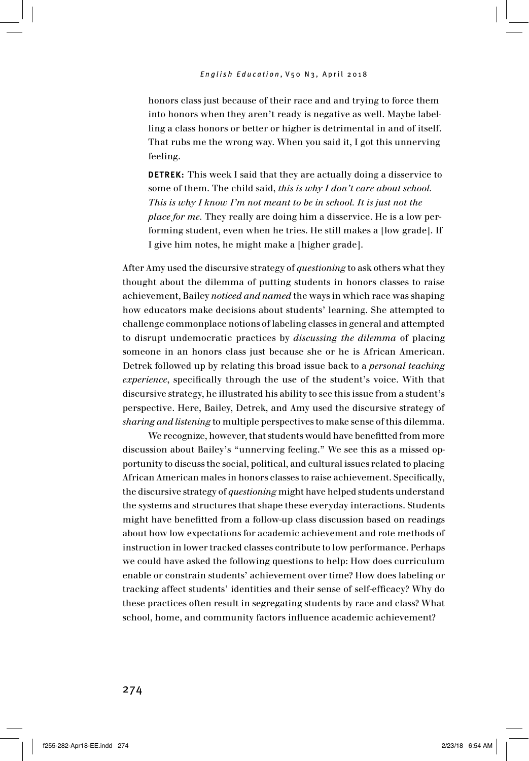honors class just because of their race and and trying to force them into honors when they aren't ready is negative as well. Maybe labelling a class honors or better or higher is detrimental in and of itself. That rubs me the wrong way. When you said it, I got this unnerving feeling.

**DETREK:** This week I said that they are actually doing a disservice to some of them. The child said, *this is why I don't care about school. This is why I know I'm not meant to be in school. It is just not the place for me.* They really are doing him a disservice. He is a low performing student, even when he tries. He still makes a [low grade]. If I give him notes, he might make a [higher grade].

After Amy used the discursive strategy of *questioning* to ask others what they thought about the dilemma of putting students in honors classes to raise achievement, Bailey *noticed and named* the ways in which race was shaping how educators make decisions about students' learning. She attempted to challenge commonplace notions of labeling classes in general and attempted to disrupt undemocratic practices by *discussing the dilemma* of placing someone in an honors class just because she or he is African American. Detrek followed up by relating this broad issue back to a *personal teaching experience*, specifically through the use of the student's voice. With that discursive strategy, he illustrated his ability to see this issue from a student's perspective. Here, Bailey, Detrek, and Amy used the discursive strategy of *sharing and listening* to multiple perspectives to make sense of this dilemma.

We recognize, however, that students would have benefitted from more discussion about Bailey's "unnerving feeling." We see this as a missed opportunity to discuss the social, political, and cultural issues related to placing African American males in honors classes to raise achievement. Specifically, the discursive strategy of *questioning* might have helped students understand the systems and structures that shape these everyday interactions. Students might have benefitted from a follow-up class discussion based on readings about how low expectations for academic achievement and rote methods of instruction in lower tracked classes contribute to low performance. Perhaps we could have asked the following questions to help: How does curriculum enable or constrain students' achievement over time? How does labeling or tracking affect students' identities and their sense of self-efficacy? Why do these practices often result in segregating students by race and class? What school, home, and community factors influence academic achievement?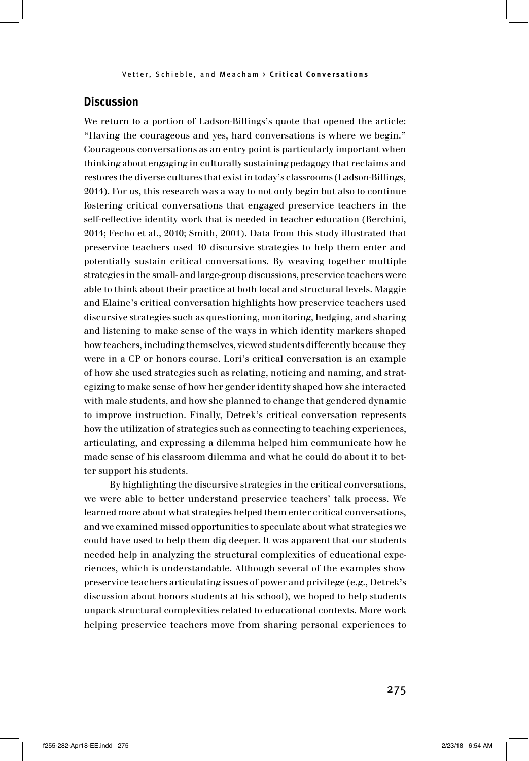### **Discussion**

We return to a portion of Ladson-Billings's quote that opened the article: "Having the courageous and yes, hard conversations is where we begin." Courageous conversations as an entry point is particularly important when thinking about engaging in culturally sustaining pedagogy that reclaims and restores the diverse cultures that exist in today's classrooms (Ladson-Billings, 2014). For us, this research was a way to not only begin but also to continue fostering critical conversations that engaged preservice teachers in the self-reflective identity work that is needed in teacher education (Berchini, 2014; Fecho et al., 2010; Smith, 2001). Data from this study illustrated that preservice teachers used 10 discursive strategies to help them enter and potentially sustain critical conversations. By weaving together multiple strategies in the small- and large-group discussions, preservice teachers were able to think about their practice at both local and structural levels. Maggie and Elaine's critical conversation highlights how preservice teachers used discursive strategies such as questioning, monitoring, hedging, and sharing and listening to make sense of the ways in which identity markers shaped how teachers, including themselves, viewed students differently because they were in a CP or honors course. Lori's critical conversation is an example of how she used strategies such as relating, noticing and naming, and strategizing to make sense of how her gender identity shaped how she interacted with male students, and how she planned to change that gendered dynamic to improve instruction. Finally, Detrek's critical conversation represents how the utilization of strategies such as connecting to teaching experiences, articulating, and expressing a dilemma helped him communicate how he made sense of his classroom dilemma and what he could do about it to better support his students.

By highlighting the discursive strategies in the critical conversations, we were able to better understand preservice teachers' talk process. We learned more about what strategies helped them enter critical conversations, and we examined missed opportunities to speculate about what strategies we could have used to help them dig deeper. It was apparent that our students needed help in analyzing the structural complexities of educational experiences, which is understandable. Although several of the examples show preservice teachers articulating issues of power and privilege (e.g., Detrek's discussion about honors students at his school), we hoped to help students unpack structural complexities related to educational contexts. More work helping preservice teachers move from sharing personal experiences to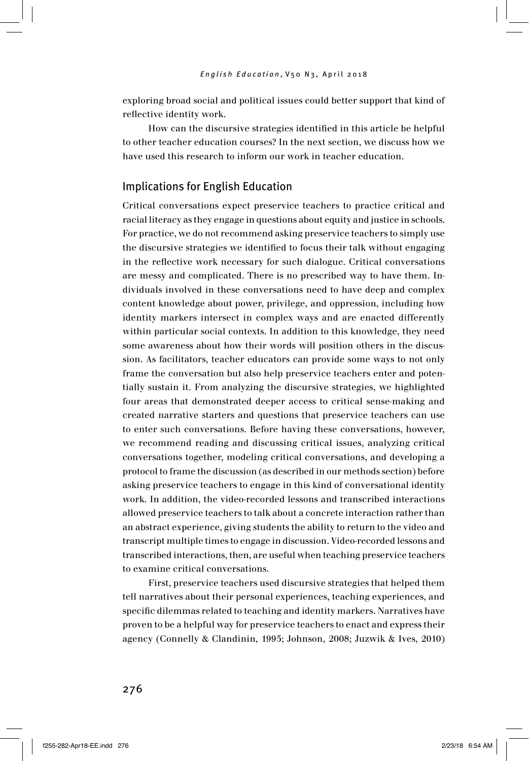exploring broad social and political issues could better support that kind of reflective identity work.

How can the discursive strategies identified in this article be helpful to other teacher education courses? In the next section, we discuss how we have used this research to inform our work in teacher education.

#### Implications for English Education

Critical conversations expect preservice teachers to practice critical and racial literacy as they engage in questions about equity and justice in schools. For practice, we do not recommend asking preservice teachers to simply use the discursive strategies we identified to focus their talk without engaging in the reflective work necessary for such dialogue. Critical conversations are messy and complicated. There is no prescribed way to have them. Individuals involved in these conversations need to have deep and complex content knowledge about power, privilege, and oppression, including how identity markers intersect in complex ways and are enacted differently within particular social contexts. In addition to this knowledge, they need some awareness about how their words will position others in the discussion. As facilitators, teacher educators can provide some ways to not only frame the conversation but also help preservice teachers enter and potentially sustain it. From analyzing the discursive strategies, we highlighted four areas that demonstrated deeper access to critical sense-making and created narrative starters and questions that preservice teachers can use to enter such conversations. Before having these conversations, however, we recommend reading and discussing critical issues, analyzing critical conversations together, modeling critical conversations, and developing a protocol to frame the discussion (as described in our methods section) before asking preservice teachers to engage in this kind of conversational identity work. In addition, the video-recorded lessons and transcribed interactions allowed preservice teachers to talk about a concrete interaction rather than an abstract experience, giving students the ability to return to the video and transcript multiple times to engage in discussion. Video-recorded lessons and transcribed interactions, then, are useful when teaching preservice teachers to examine critical conversations.

First, preservice teachers used discursive strategies that helped them tell narratives about their personal experiences, teaching experiences, and specific dilemmas related to teaching and identity markers. Narratives have proven to be a helpful way for preservice teachers to enact and express their agency (Connelly & Clandinin, 1995; Johnson, 2008; Juzwik & Ives, 2010)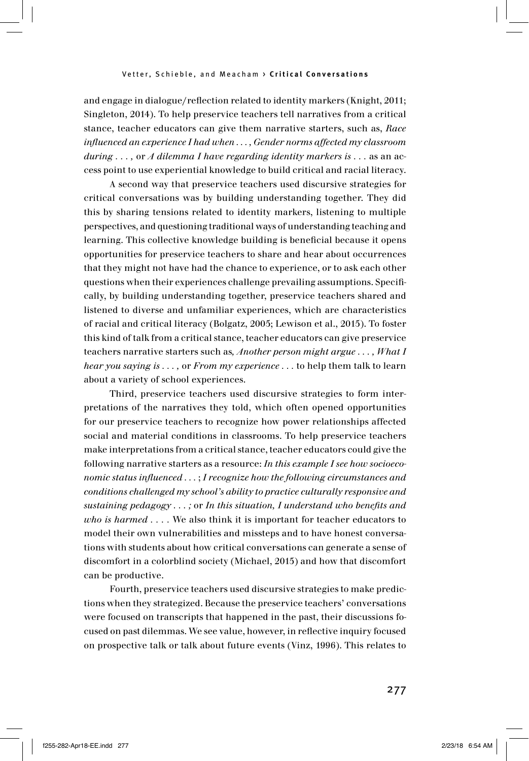and engage in dialogue/reflection related to identity markers (Knight, 2011; Singleton, 2014). To help preservice teachers tell narratives from a critical stance, teacher educators can give them narrative starters, such as, *Race influenced an experience I had when . . . , Gender norms affected my classroom during . . . ,* or *A dilemma I have regarding identity markers is . . .* as an access point to use experiential knowledge to build critical and racial literacy.

A second way that preservice teachers used discursive strategies for critical conversations was by building understanding together. They did this by sharing tensions related to identity markers, listening to multiple perspectives, and questioning traditional ways of understanding teaching and learning. This collective knowledge building is beneficial because it opens opportunities for preservice teachers to share and hear about occurrences that they might not have had the chance to experience, or to ask each other questions when their experiences challenge prevailing assumptions. Specifically, by building understanding together, preservice teachers shared and listened to diverse and unfamiliar experiences, which are characteristics of racial and critical literacy (Bolgatz, 2005; Lewison et al., 2015). To foster this kind of talk from a critical stance, teacher educators can give preservice teachers narrative starters such as*, Another person might argue . . . , What I hear you saying is . . . ,* or *From my experience . . .* to help them talk to learn about a variety of school experiences.

Third, preservice teachers used discursive strategies to form interpretations of the narratives they told, which often opened opportunities for our preservice teachers to recognize how power relationships affected social and material conditions in classrooms. To help preservice teachers make interpretations from a critical stance, teacher educators could give the following narrative starters as a resource: *In this example I see how socioeconomic status influenced . . .* ; *I recognize how the following circumstances and conditions challenged my school's ability to practice culturally responsive and sustaining pedagogy . . . ;* or *In this situation, I understand who benefits and who is harmed . . . .* We also think it is important for teacher educators to model their own vulnerabilities and missteps and to have honest conversations with students about how critical conversations can generate a sense of discomfort in a colorblind society (Michael, 2015) and how that discomfort can be productive.

Fourth, preservice teachers used discursive strategies to make predictions when they strategized. Because the preservice teachers' conversations were focused on transcripts that happened in the past, their discussions focused on past dilemmas. We see value, however, in reflective inquiry focused on prospective talk or talk about future events (Vinz, 1996). This relates to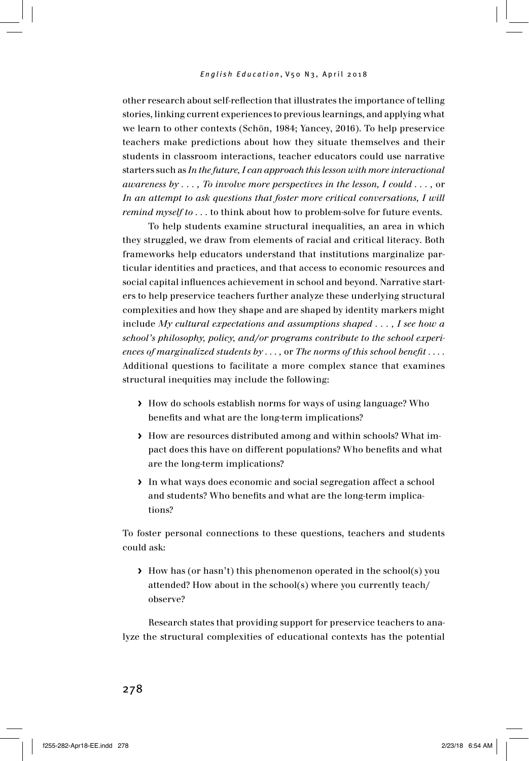other research about self-reflection that illustrates the importance of telling stories, linking current experiences to previous learnings, and applying what we learn to other contexts (Schön, 1984; Yancey, 2016). To help preservice teachers make predictions about how they situate themselves and their students in classroom interactions, teacher educators could use narrative starters such as *In the future, I can approach this lesson with more interactional awareness by . . . , To involve more perspectives in the lesson, I could . . . ,* or *In an attempt to ask questions that foster more critical conversations, I will remind myself to ...* to think about how to problem-solve for future events.

To help students examine structural inequalities, an area in which they struggled, we draw from elements of racial and critical literacy. Both frameworks help educators understand that institutions marginalize particular identities and practices, and that access to economic resources and social capital influences achievement in school and beyond. Narrative starters to help preservice teachers further analyze these underlying structural complexities and how they shape and are shaped by identity markers might include *My cultural expectations and assumptions shaped . . . , I see how a school's philosophy, policy, and/or programs contribute to the school experiences of marginalized students by . . . ,* or *The norms of this school benefit . . . .*  Additional questions to facilitate a more complex stance that examines structural inequities may include the following:

- **>** How do schools establish norms for ways of using language? Who benefits and what are the long-term implications?
- **>** How are resources distributed among and within schools? What impact does this have on different populations? Who benefits and what are the long-term implications?
- **>** In what ways does economic and social segregation affect a school and students? Who benefits and what are the long-term implications?

To foster personal connections to these questions, teachers and students could ask:

**>** How has (or hasn't) this phenomenon operated in the school(s) you attended? How about in the school(s) where you currently teach/ observe?

Research states that providing support for preservice teachers to analyze the structural complexities of educational contexts has the potential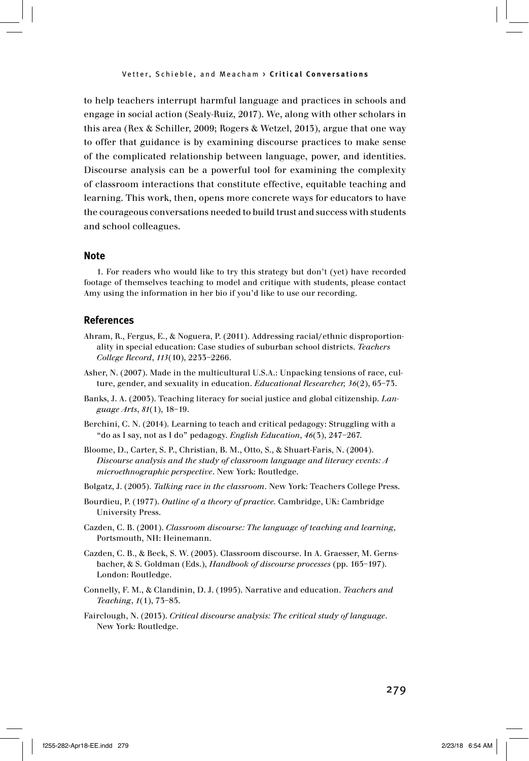to help teachers interrupt harmful language and practices in schools and engage in social action (Sealy-Ruiz, 2017). We, along with other scholars in this area (Rex & Schiller, 2009; Rogers & Wetzel, 2013), argue that one way to offer that guidance is by examining discourse practices to make sense of the complicated relationship between language, power, and identities. Discourse analysis can be a powerful tool for examining the complexity of classroom interactions that constitute effective, equitable teaching and learning. This work, then, opens more concrete ways for educators to have the courageous conversations needed to build trust and success with students and school colleagues.

#### **Note**

1. For readers who would like to try this strategy but don't (yet) have recorded footage of themselves teaching to model and critique with students, please contact Amy using the information in her bio if you'd like to use our recording.

#### **References**

- Ahram, R., Fergus, E., & Noguera, P. (2011). Addressing racial/ethnic disproportionality in special education: Case studies of suburban school districts. *Teachers College Record*, *113*(10), 2233–2266.
- Asher, N. (2007). Made in the multicultural U.S.A.: Unpacking tensions of race, culture, gender, and sexuality in education. *Educational Researcher, 36*(2), 65–73.
- Banks, J. A. (2003). Teaching literacy for social justice and global citizenship. *Language Arts*, *81*(1), 18–19.
- Berchini, C. N. (2014). Learning to teach and critical pedagogy: Struggling with a "do as I say, not as I do" pedagogy. *English Education*, *46*(3), 247–267.
- Bloome, D., Carter, S. P., Christian, B. M., Otto, S., & Shuart-Faris, N. (2004). *Discourse analysis and the study of classroom language and literacy events: A microethnographic perspective*. New York: Routledge.
- Bolgatz, J. (2005). *Talking race in the classroom*. New York: Teachers College Press.
- Bourdieu, P. (1977). *Outline of a theory of practice.* Cambridge, UK: Cambridge University Press.
- Cazden, C. B. (2001). *Classroom discourse: The language of teaching and learning*, Portsmouth, NH: Heinemann.
- Cazden, C. B., & Beck, S. W. (2003). Classroom discourse. In A. Graesser, M. Gernsbacher, & S. Goldman (Eds.), *Handbook of discourse processes* (pp. 165–197). London: Routledge.
- Connelly, F. M., & Clandinin, D. J. (1995). Narrative and education. *Teachers and Teaching*, *1*(1), 73–85.
- Fairclough, N. (2013). *Critical discourse analysis: The critical study of language*. New York: Routledge.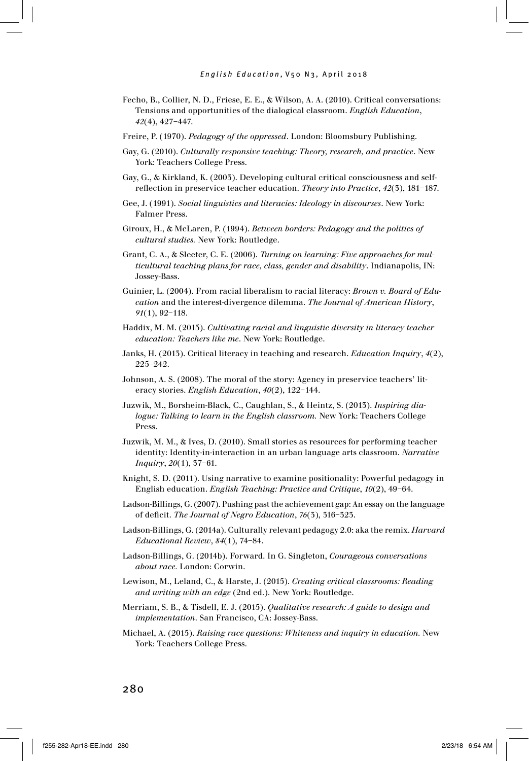- Fecho, B., Collier, N. D., Friese, E. E., & Wilson, A. A. (2010). Critical conversations: Tensions and opportunities of the dialogical classroom. *English Education*, *42*(4), 427–447.
- Freire, P. (1970). *Pedagogy of the oppressed*. London: Bloomsbury Publishing.
- Gay, G. (2010). *Culturally responsive teaching: Theory, research, and practice*. New York: Teachers College Press.
- Gay, G., & Kirkland, K. (2003). Developing cultural critical consciousness and selfreflection in preservice teacher education. *Theory into Practice*, *42*(3), 181–187.
- Gee, J. (1991). *Social linguistics and literacies: Ideology in discourses*. New York: Falmer Press.
- Giroux, H., & McLaren, P. (1994). *Between borders: Pedagogy and the politics of cultural studies.* New York: Routledge.
- Grant, C. A., & Sleeter, C. E. (2006). *Turning on learning: Five approaches for multicultural teaching plans for race, class, gender and disability*. Indianapolis, IN: Jossey-Bass.
- Guinier, L. (2004). From racial liberalism to racial literacy: *Brown v. Board of Education* and the interest-divergence dilemma. *The Journal of American History*, *91*(1), 92–118.
- Haddix, M. M. (2015). *Cultivating racial and linguistic diversity in literacy teacher education: Teachers like me*. New York: Routledge.
- Janks, H. (2013). Critical literacy in teaching and research. *Education Inquiry*, *4*(2), 225–242.
- Johnson, A. S. (2008). The moral of the story: Agency in preservice teachers' literacy stories. *English Education*, *40*(2), 122–144.
- Juzwik, M., Borsheim-Black, C., Caughlan, S., & Heintz, S. (2013). *Inspiring dialogue: Talking to learn in the English classroom.* New York: Teachers College Press.
- Juzwik, M. M., & Ives, D. (2010). Small stories as resources for performing teacher identity: Identity-in-interaction in an urban language arts classroom. *Narrative Inquiry*, *20*(1), 37–61.
- Knight, S. D. (2011). Using narrative to examine positionality: Powerful pedagogy in English education. *English Teaching: Practice and Critique*, *10*(2), 49–64.
- Ladson-Billings, G. (2007). Pushing past the achievement gap: An essay on the language of deficit. *The Journal of Negro Education*, *76*(3), 316–323.
- Ladson-Billings, G. (2014a). Culturally relevant pedagogy 2.0: aka the remix. *Harvard Educational Review*, *84*(1), 74–84.
- Ladson-Billings, G. (2014b). Forward. In G. Singleton, *Courageous conversations about race.* London: Corwin.
- Lewison, M., Leland, C., & Harste, J. (2015). *Creating critical classrooms: Reading and writing with an edge* (2nd ed.). New York: Routledge.
- Merriam, S. B., & Tisdell, E. J. (2015). *Qualitative research: A guide to design and implementation*. San Francisco, CA: Jossey-Bass.
- Michael, A. (2015). *Raising race questions: Whiteness and inquiry in education.* New York: Teachers College Press.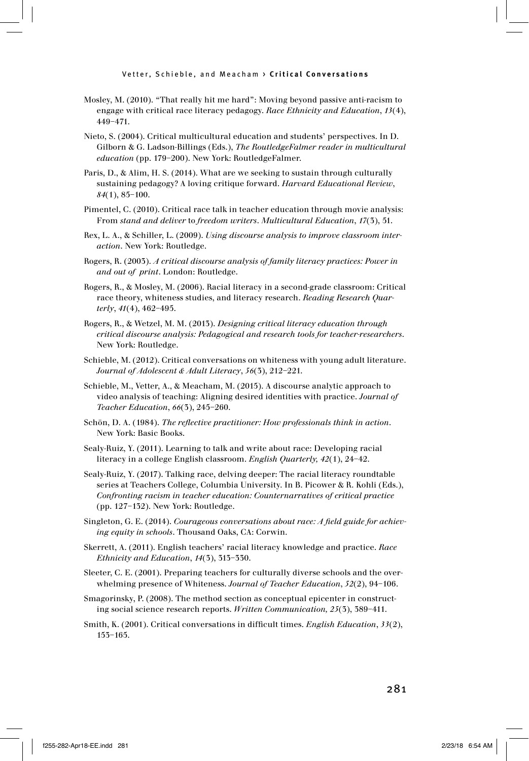- Mosley, M. (2010). "That really hit me hard": Moving beyond passive anti-racism to engage with critical race literacy pedagogy. *Race Ethnicity and Education*, *13*(4), 449–471.
- Nieto, S. (2004). Critical multicultural education and students' perspectives. In D. Gilborn & G. Ladson-Billings (Eds.), *The RoutledgeFalmer reader in multicultural education* (pp. 179–200). New York: RoutledgeFalmer.
- Paris, D., & Alim, H. S. (2014). What are we seeking to sustain through culturally sustaining pedagogy? A loving critique forward. *Harvard Educational Review*, *84*(1), 85–100.
- Pimentel, C. (2010). Critical race talk in teacher education through movie analysis: From *stand and deliver* to *freedom writers*. *Multicultural Education*, *17*(3), 51.
- Rex, L. A., & Schiller, L. (2009). *Using discourse analysis to improve classroom interaction*. New York: Routledge.
- Rogers, R. (2003). *A critical discourse analysis of family literacy practices: Power in and out of print*. London: Routledge.
- Rogers, R., & Mosley, M. (2006). Racial literacy in a second-grade classroom: Critical race theory, whiteness studies, and literacy research. *Reading Research Quarterly*, *41*(4), 462–495.
- Rogers, R., & Wetzel, M. M. (2013). *Designing critical literacy education through critical discourse analysis: Pedagogical and research tools for teacher-researchers*. New York: Routledge.
- Schieble, M. (2012). Critical conversations on whiteness with young adult literature. *Journal of Adolescent & Adult Literacy*, *56*(3), 212–221.
- Schieble, M., Vetter, A., & Meacham, M. (2015). A discourse analytic approach to video analysis of teaching: Aligning desired identities with practice. *Journal of Teacher Education*, *66*(3), 245–260.
- Schön, D. A. (1984). *The reflective practitioner: How professionals think in action*. New York: Basic Books.
- Sealy-Ruiz, Y. (2011). Learning to talk and write about race: Developing racial literacy in a college English classroom. *English Quarterly, 42*(1), 24–42.
- Sealy-Ruiz, Y. (2017). Talking race, delving deeper: The racial literacy roundtable series at Teachers College, Columbia University. In B. Picower & R. Kohli (Eds.), *Confronting racism in teacher education: Counternarratives of critical practice*  (pp. 127–132). New York: Routledge.
- Singleton, G. E. (2014). *Courageous conversations about race: A field guide for achieving equity in schools*. Thousand Oaks, CA: Corwin.
- Skerrett, A. (2011). English teachers' racial literacy knowledge and practice. *Race Ethnicity and Education*, *14*(3), 313–330.
- Sleeter, C. E. (2001). Preparing teachers for culturally diverse schools and the overwhelming presence of Whiteness. *Journal of Teacher Education*, *52*(2), 94–106.
- Smagorinsky, P. (2008). The method section as conceptual epicenter in constructing social science research reports. *Written Communication, 25*(3), 389–411.
- Smith, K. (2001). Critical conversations in difficult times. *English Education*, *33*(2), 153–165.